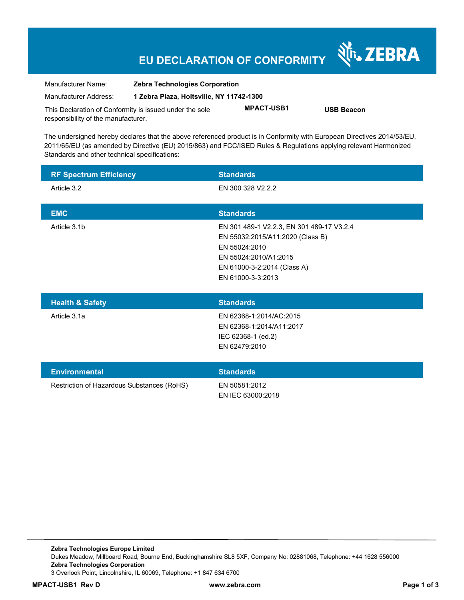## **EU DECLARATION OF CONFORMITY**

Nr. ZEBRA

| Manufacturer Name:                                      | <b>Zebra Technologies Corporation</b>    |                   |                   |  |
|---------------------------------------------------------|------------------------------------------|-------------------|-------------------|--|
| Manufacturer Address:                                   | 1 Zebra Plaza. Holtsville. NY 11742-1300 |                   |                   |  |
| This Declaration of Conformity is issued under the sole |                                          | <b>MPACT-USB1</b> | <b>USB Beacon</b> |  |
| responsibility of the manufacturer.                     |                                          |                   |                   |  |

The undersigned hereby declares that the above referenced product is in Conformity with European Directives 2014/53/EU, 2011/65/EU (as amended by Directive (EU) 2015/863) and FCC/ISED Rules & Regulations applying relevant Harmonized Standards and other technical specifications:

| <b>RF Spectrum Efficiency</b> | <b>Standards</b>                                                                                                                                                            |
|-------------------------------|-----------------------------------------------------------------------------------------------------------------------------------------------------------------------------|
| Article 3.2                   | EN 300 328 V2.2.2                                                                                                                                                           |
| <b>EMC</b>                    | <b>Standards</b>                                                                                                                                                            |
| Article 3.1b                  | EN 301 489-1 V2.2.3, EN 301 489-17 V3.2.4<br>EN 55032:2015/A11:2020 (Class B)<br>EN 55024:2010<br>EN 55024:2010/A1:2015<br>EN 61000-3-2:2014 (Class A)<br>EN 61000-3-3:2013 |
| <b>Health &amp; Safety</b>    | <b>Standards</b>                                                                                                                                                            |
| Article 3.1a                  | EN 62368-1:2014/AC:2015<br>EN 62368-1:2014/A11:2017<br>IEC 62368-1 (ed.2)<br>EN 62479:2010                                                                                  |

| <b>Environmental</b>                       | <b>Standards</b>                   |
|--------------------------------------------|------------------------------------|
| Restriction of Hazardous Substances (RoHS) | EN 50581:2012<br>EN IEC 63000:2018 |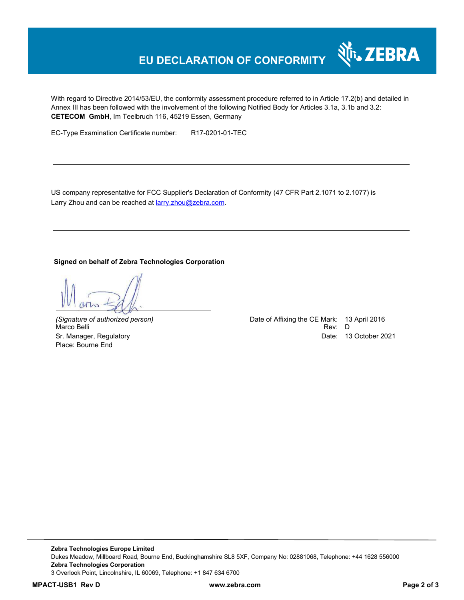## **EU DECLARATION OF CONFORMITY**

With regard to Directive 2014/53/EU, the conformity assessment procedure referred to in Article 17.2(b) and detailed in Annex III has been followed with the involvement of the following Notified Body for Articles 3.1a, 3.1b and 3.2: **CETECOM GmbH**, Im Teelbruch 116, 45219 Essen, Germany

EC-Type Examination Certificate number: R17-0201-01-TEC

US company representative for FCC Supplier's Declaration of Conformity (47 CFR Part 2.1071 to 2.1077) is Larry Zhou and can be reached at **larry**.zhou@zebra.com.

**Signed on behalf of Zebra Technologies Corporation** 

Marco Belli Place: Bourne End

*(Signature of authorized person)* Date of Affixing the CE Mark: 13 April 2016 Sr. Manager, Regulatory Date: 13 October 2021

र्शे<sub>ं</sub> ZEBRA

**Zebra Technologies Europe Limited**  Dukes Meadow, Millboard Road, Bourne End, Buckinghamshire SL8 5XF, Company No: 02881068, Telephone: +44 1628 556000 **Zebra Technologies Corporation**  3 Overlook Point, Lincolnshire, IL 60069, Telephone: +1 847 634 6700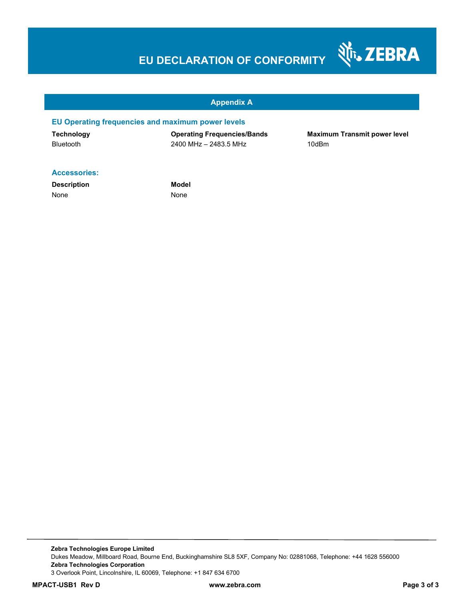# **EU DECLARATION OF CONFORMITY**



#### **Appendix A**

#### **EU Operating frequencies and maximum power levels**

**Technology Operating Frequencies/Bands Maximum Transmit power level**  Bluetooth 2400 MHz – 2483.5 MHz 10dBm

#### **Accessories:**

**Description Model** None None